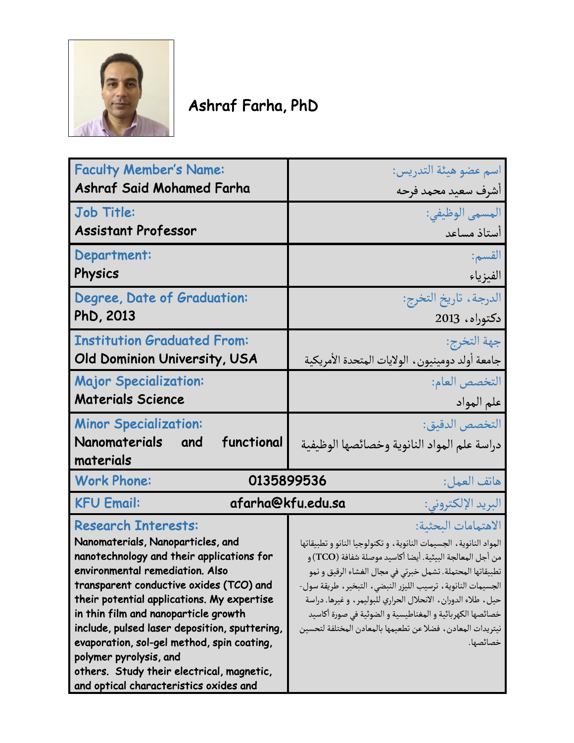

## Ashraf Farha, PhD

| <b>Faculty Member's Name:</b>                                                                                                                                                                                                                                                                                                                                                                                                                                                                    | اسم عضو هيئة التدريس:                                                                                                                                                                                                                                                                                                                                                                                                                                                                      |
|--------------------------------------------------------------------------------------------------------------------------------------------------------------------------------------------------------------------------------------------------------------------------------------------------------------------------------------------------------------------------------------------------------------------------------------------------------------------------------------------------|--------------------------------------------------------------------------------------------------------------------------------------------------------------------------------------------------------------------------------------------------------------------------------------------------------------------------------------------------------------------------------------------------------------------------------------------------------------------------------------------|
| <b>Ashraf Said Mohamed Farha</b>                                                                                                                                                                                                                                                                                                                                                                                                                                                                 | أشرف سعيد محمد فرحه                                                                                                                                                                                                                                                                                                                                                                                                                                                                        |
| Job Title:                                                                                                                                                                                                                                                                                                                                                                                                                                                                                       | المسمى الوظيفي:                                                                                                                                                                                                                                                                                                                                                                                                                                                                            |
| <b>Assistant Professor</b>                                                                                                                                                                                                                                                                                                                                                                                                                                                                       | أستاذ مساعد                                                                                                                                                                                                                                                                                                                                                                                                                                                                                |
| Department:                                                                                                                                                                                                                                                                                                                                                                                                                                                                                      | القسم:                                                                                                                                                                                                                                                                                                                                                                                                                                                                                     |
| Physics                                                                                                                                                                                                                                                                                                                                                                                                                                                                                          | الفيزياء                                                                                                                                                                                                                                                                                                                                                                                                                                                                                   |
| Degree, Date of Graduation:                                                                                                                                                                                                                                                                                                                                                                                                                                                                      | الدرجة ، تاريخ التخرج:                                                                                                                                                                                                                                                                                                                                                                                                                                                                     |
| PhD, 2013                                                                                                                                                                                                                                                                                                                                                                                                                                                                                        | دكتوراه، 2013                                                                                                                                                                                                                                                                                                                                                                                                                                                                              |
| <b>Institution Graduated From:</b>                                                                                                                                                                                                                                                                                                                                                                                                                                                               | جهة التخرج:                                                                                                                                                                                                                                                                                                                                                                                                                                                                                |
| Old Dominion University, USA                                                                                                                                                                                                                                                                                                                                                                                                                                                                     | جامعة أولد دومينيون، الولايات المتحدة الأمريكية                                                                                                                                                                                                                                                                                                                                                                                                                                            |
| <b>Major Specialization:</b>                                                                                                                                                                                                                                                                                                                                                                                                                                                                     | التخصص العام:                                                                                                                                                                                                                                                                                                                                                                                                                                                                              |
| <b>Materials Science</b>                                                                                                                                                                                                                                                                                                                                                                                                                                                                         | علم المواد                                                                                                                                                                                                                                                                                                                                                                                                                                                                                 |
| <b>Minor Specialization:</b><br>Nanomaterials<br>functional<br>and<br>materials                                                                                                                                                                                                                                                                                                                                                                                                                  | التخصص الدقيق:<br>دراسة علم المواد النانوية وخصائصها الوظيفية                                                                                                                                                                                                                                                                                                                                                                                                                              |
| <b>Work Phone:</b>                                                                                                                                                                                                                                                                                                                                                                                                                                                                               | 0135899536<br>هاتف العمل:                                                                                                                                                                                                                                                                                                                                                                                                                                                                  |
| <b>KFU Email:</b>                                                                                                                                                                                                                                                                                                                                                                                                                                                                                | afarha@kfu.edu.sa<br>البريد الإلكتروني:                                                                                                                                                                                                                                                                                                                                                                                                                                                    |
| <b>Research Interests:</b><br>Nanomaterials, Nanoparticles, and<br>nanotechnology and their applications for<br>environmental remediation. Also<br>transparent conductive oxides (TCO) and<br>their potential applications. My expertise<br>in thin film and nanoparticle growth<br>include, pulsed laser deposition, sputtering,<br>evaporation, sol-gel method, spin coating,<br>polymer pyrolysis, and<br>others. Study their electrical, magnetic,<br>and optical characteristics oxides and | الاهتمامات البحثية:<br>المواد النانوية، الجسيمات النانوية، وتكنولوجيا النانو وتطبيقاتها<br>من أجل المعالجة البيئية. أيضا أكاسيد موصلة شفافة (TCO) و<br>تطبيقاتها المحتملة. تشمل خبرتي في مجال الغشاء الرقيق و نمو<br>الجسيمات النانوية ، ترسيب الليزر النبضي ، التبخير ، طريقة سول-<br>حيل، طلاء الدوران، الانحلال الحراري للبوليمر، وغيرها. دراسة<br>خصائصها الكهربائية و المغناطيسية و الضوئية في صورة أكاسيد<br>نيتريدات المعادن ، فضلا عن تطعيمها بالمعادن المختلفة لتحسين<br>خصائصها. |